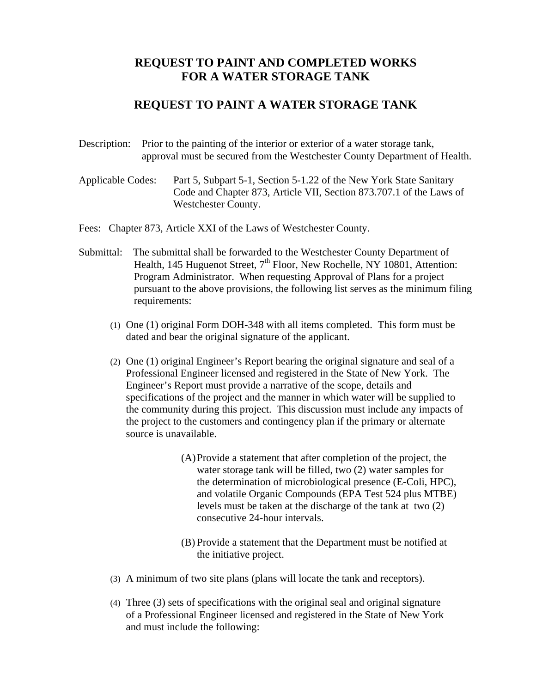## **REQUEST TO PAINT AND COMPLETED WORKS FOR A WATER STORAGE TANK**

## **REQUEST TO PAINT A WATER STORAGE TANK**

- Description: Prior to the painting of the interior or exterior of a water storage tank, approval must be secured from the Westchester County Department of Health.
- Applicable Codes: Part 5, Subpart 5-1, Section 5-1.22 of the New York State Sanitary Code and Chapter 873, Article VII, Section 873.707.1 of the Laws of Westchester County.

Fees: Chapter 873, Article XXI of the Laws of Westchester County.

- Submittal: The submittal shall be forwarded to the Westchester County Department of Health, 145 Huguenot Street,  $7<sup>th</sup>$  Floor, New Rochelle, NY 10801, Attention: Program Administrator. When requesting Approval of Plans for a project pursuant to the above provisions, the following list serves as the minimum filing requirements:
	- (1) One (1) original Form DOH-348 with all items completed. This form must be dated and bear the original signature of the applicant.
	- (2) One (1) original Engineer's Report bearing the original signature and seal of a Professional Engineer licensed and registered in the State of New York. The Engineer's Report must provide a narrative of the scope, details and specifications of the project and the manner in which water will be supplied to the community during this project. This discussion must include any impacts of the project to the customers and contingency plan if the primary or alternate source is unavailable.
		- (A)Provide a statement that after completion of the project, the water storage tank will be filled, two (2) water samples for the determination of microbiological presence (E-Coli, HPC), and volatile Organic Compounds (EPA Test 524 plus MTBE) levels must be taken at the discharge of the tank at two (2) consecutive 24-hour intervals.
		- (B) Provide a statement that the Department must be notified at the initiative project.
	- (3) A minimum of two site plans (plans will locate the tank and receptors).
	- (4) Three (3) sets of specifications with the original seal and original signature of a Professional Engineer licensed and registered in the State of New York and must include the following: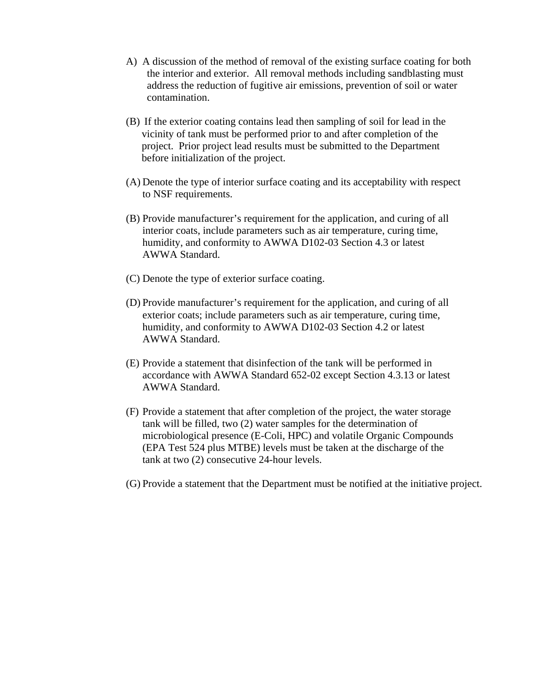- A) A discussion of the method of removal of the existing surface coating for both the interior and exterior. All removal methods including sandblasting must address the reduction of fugitive air emissions, prevention of soil or water contamination.
- (B) If the exterior coating contains lead then sampling of soil for lead in the vicinity of tank must be performed prior to and after completion of the project. Prior project lead results must be submitted to the Department before initialization of the project.
- (A) Denote the type of interior surface coating and its acceptability with respect to NSF requirements.
- (B) Provide manufacturer's requirement for the application, and curing of all interior coats, include parameters such as air temperature, curing time, humidity, and conformity to AWWA D102-03 Section 4.3 or latest AWWA Standard.
- (C) Denote the type of exterior surface coating.
- (D) Provide manufacturer's requirement for the application, and curing of all exterior coats; include parameters such as air temperature, curing time, humidity, and conformity to AWWA D102-03 Section 4.2 or latest AWWA Standard.
- (E) Provide a statement that disinfection of the tank will be performed in accordance with AWWA Standard 652-02 except Section 4.3.13 or latest AWWA Standard.
- (F) Provide a statement that after completion of the project, the water storage tank will be filled, two (2) water samples for the determination of microbiological presence (E-Coli, HPC) and volatile Organic Compounds (EPA Test 524 plus MTBE) levels must be taken at the discharge of the tank at two (2) consecutive 24-hour levels.
- (G) Provide a statement that the Department must be notified at the initiative project.